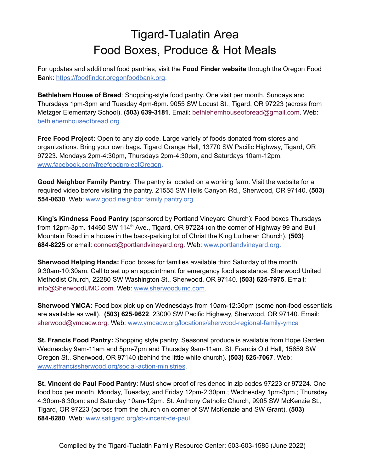## Tigard-Tualatin Area Food Boxes, Produce & Hot Meals

For updates and additional food pantries, visit the **Food Finder website** through the Oregon Food Bank: [https://foodfinder.oregonfoodbank.org.](https://foodfinder.oregonfoodbank.org/)

**Bethlehem House of Bread**: Shopping-style food pantry. One visit per month. Sundays and Thursdays 1pm-3pm and Tuesday 4pm-6pm. 9055 SW Locust St., Tigard, OR 97223 (across from Metzger Elementary School). **(503) 639-3181**. Email: bethlehemhouseofbread@gmail.com. Web[:](https://bethlehemhouseofbread.org/) [bethlehemhouseofbread.org](https://bethlehemhouseofbread.org/).

**Free Food Project:** Open to any zip code. Large variety of foods donated from stores and organizations. Bring your own bags**.** Tigard Grange Hall, 13770 SW Pacific Highway, Tigard, OR 97223. Mondays 2pm-4:30pm, Thursdays 2pm-4:30pm, and Saturdays 10am-12pm[.](https://www.facebook.com/freefoodprojectOregon/) [www.facebook.com/freefoodprojectOregon.](https://www.facebook.com/freefoodprojectOregon/)

**Good Neighbor Family Pantry**: The pantry is located on a working farm. Visit the website for a required video before visiting the pantry. 21555 SW Hells Canyon Rd., Sherwood, OR 97140. **(503) 554-0630**. [Web:](http://www.oregon.gov/DHS) [www.good](http://www.goodneighborfamilypantry.org/) neighbor family pantry.org.

**King's Kindness Food Pantry** (sponsored by Portland Vineyard Church): Food boxes Thursdays from 12pm-3pm. 14460 SW 114<sup>th</sup> Ave., Tigard, OR 97224 (on the corner of Highway 99 and Bull Mountain Road in a house in the back-parking lot of Christ the King Lutheran Church). **(503) 684-8225** or email: connect@portlandvineyard.org. [Web:](http://www.oregon.gov/DHS) [www.portlandvineyard.org.](http://www.portlandvineyard.org/)

**Sherwood Helping Hands:** Food boxes for families available third Saturday of the month 9:30am-10:30am. Call to set up an appointment for emergency food assistance. Sherwood United Methodist Church, 22280 SW Washington St., Sherwood, OR 97140. **(503) 625-7975**. Email: info@SherwoodUMC.com. [Web:](http://www.oregon.gov/DHS) [www.sherwoodumc.com.](http://www.sherwoodumc.com/)

**Sherwood YMCA:** Food box pick up on Wednesdays from 10am-12:30pm (some non-food essentials are available as well). **(503) 625-9622**. 23000 SW Pacific Highway, Sherwood, OR 97140. Email: sherwood@ymcacw.org. [Web:](http://www.oregon.gov/DHS) [www.ymcacw.org/locations/sherwood-regional-family-ymca](https://www.ymcacw.org/locations/sherwood-regional-family-ymca)

**St. Francis Food Pantry:** Shopping style pantry. Seasonal produce is available from Hope Garden. Wednesday 9am-11am and 5pm-7pm and Thursday 9am-11am. St. Francis Old Hall, 15659 SW Oregon St., Sherwood, OR 97140 (behind the little white church). **(503) 625-7067**. [Web:](http://www.oregon.gov/DHS) [www.stfrancissherwood.org/social-action-ministries](http://www.stfrancissherwood.org/social-action-ministries).

**St. Vincent de Paul Food Pantry**: Must show proof of residence in zip codes 97223 or 97224. One food box per month. Monday, Tuesday, and Friday 12pm-2:30pm.; Wednesday 1pm-3pm.; Thursday 4:30pm-6:30pm: and Saturday 10am-12pm. St. Anthony Catholic Church, 9905 SW McKenzie St., Tigard, OR 97223 (across from the church on corner of SW McKenzie and SW Grant). **(503) 684-8280**. Web: [www.satigard.org/st-vincent-de-paul.](http://www.satigard.org/st-vincent-de-paul)